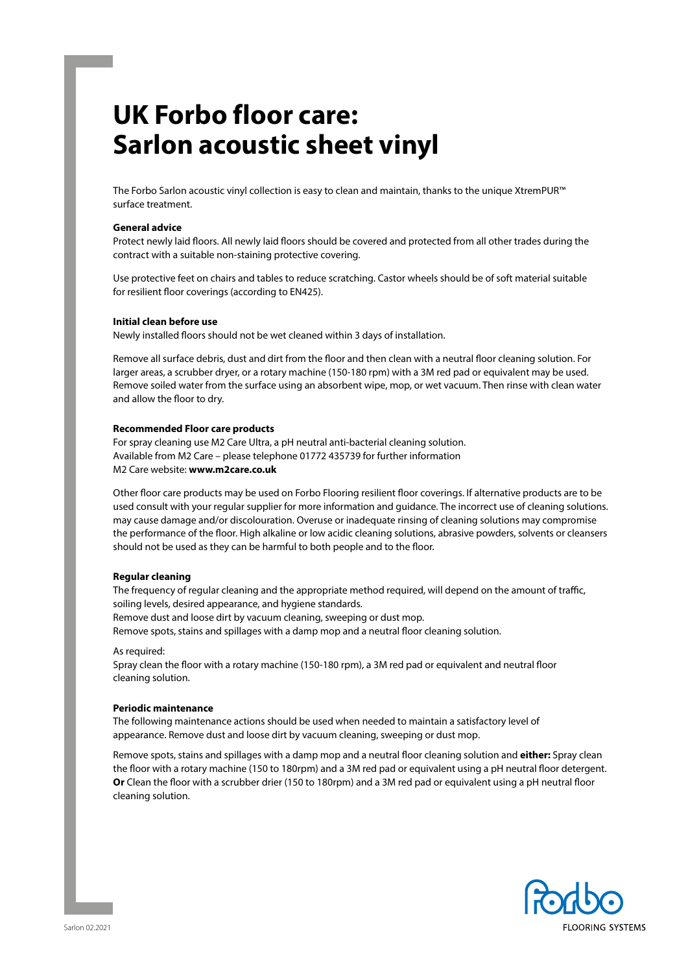# **UK Forbo floor care: Sarlon acoustic sheet vinyl**

The Forbo Sarlon acoustic vinyl collection is easy to clean and maintain, thanks to the unique XtremPUR™ surface treatment.

#### **General advice**

Protect newly laid floors. All newly laid floors should be covered and protected from all other trades during the contract with a suitable non-staining protective covering.

Use protective feet on chairs and tables to reduce scratching. Castor wheels should be of soft material suitable for resilient floor coverings (according to EN425).

# **Initial clean before use**

Newly installed floors should not be wet cleaned within 3 days of installation.

Remove all surface debris, dust and dirt from the floor and then clean with a neutral floor cleaning solution. For larger areas, a scrubber dryer, or a rotary machine (150-180 rpm) with a 3M red pad or equivalent may be used. Remove soiled water from the surface using an absorbent wipe, mop, or wet vacuum. Then rinse with clean water and allow the floor to dry.

#### **Recommended Floor care products**

For spray cleaning use M2 Care Ultra, a pH neutral anti-bacterial cleaning solution. Available from M2 Care – please telephone 01772 435739 for further information M2 Care website: **www.m2care.co.uk** 

Other floor care products may be used on Forbo Flooring resilient floor coverings. If alternative products are to be used consult with your regular supplier for more information and guidance. The incorrect use of cleaning solutions. may cause damage and/or discolouration. Overuse or inadequate rinsing of cleaning solutions may compromise the performance of the floor. High alkaline or low acidic cleaning solutions, abrasive powders, solvents or cleansers should not be used as they can be harmful to both people and to the floor.

### **Regular cleaning**

The frequency of regular cleaning and the appropriate method required, will depend on the amount of traffic, soiling levels, desired appearance, and hygiene standards.

Remove dust and loose dirt by vacuum cleaning, sweeping or dust mop.

Remove spots, stains and spillages with a damp mop and a neutral floor cleaning solution.

As required:

Spray clean the floor with a rotary machine (150-180 rpm), a 3M red pad or equivalent and neutral floor cleaning solution.

#### **Periodic maintenance**

The following maintenance actions should be used when needed to maintain a satisfactory level of appearance. Remove dust and loose dirt by vacuum cleaning, sweeping or dust mop.

Remove spots, stains and spillages with a damp mop and a neutral floor cleaning solution and **either:** Spray clean the floor with a rotary machine (150 to 180rpm) and a 3M red pad or equivalent using a pH neutral floor detergent. **Or** Clean the floor with a scrubber drier (150 to 180rpm) and a 3M red pad or equivalent using a pH neutral floor cleaning solution.

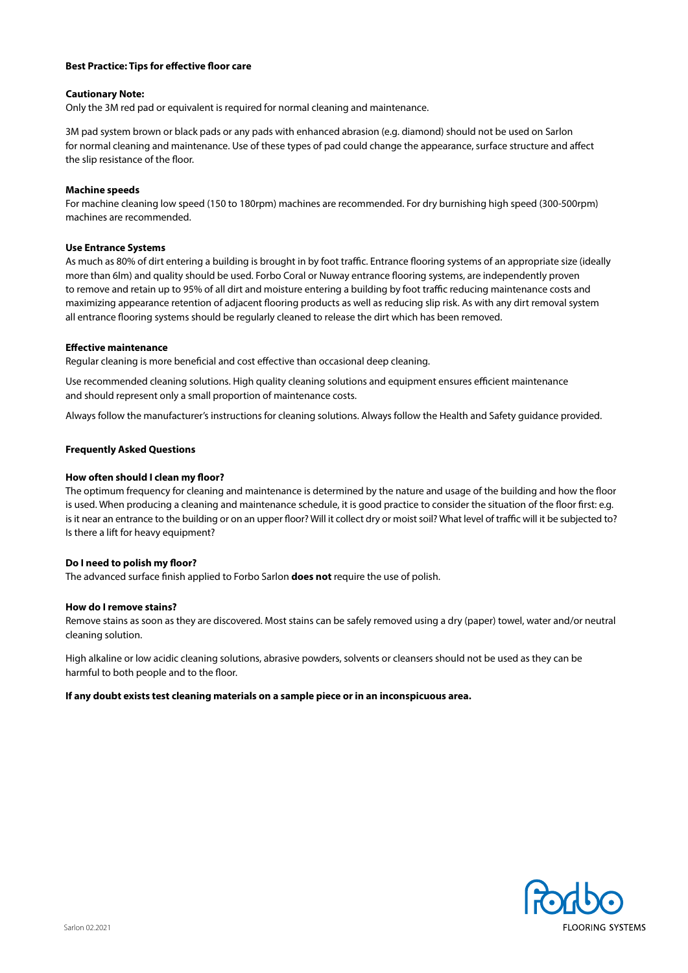### **Best Practice: Tips for effective floor care**

# **Cautionary Note:**

Only the 3M red pad or equivalent is required for normal cleaning and maintenance.

3M pad system brown or black pads or any pads with enhanced abrasion (e.g. diamond) should not be used on Sarlon for normal cleaning and maintenance. Use of these types of pad could change the appearance, surface structure and affect the slip resistance of the floor.

# **Machine speeds**

For machine cleaning low speed (150 to 180rpm) machines are recommended. For dry burnishing high speed (300-500rpm) machines are recommended.

# **Use Entrance Systems**

As much as 80% of dirt entering a building is brought in by foot traffic. Entrance flooring systems of an appropriate size (ideally more than 6lm) and quality should be used. Forbo Coral or Nuway entrance flooring systems, are independently proven to remove and retain up to 95% of all dirt and moisture entering a building by foot traffic reducing maintenance costs and maximizing appearance retention of adjacent flooring products as well as reducing slip risk. As with any dirt removal system all entrance flooring systems should be regularly cleaned to release the dirt which has been removed.

# **Effective maintenance**

Regular cleaning is more beneficial and cost effective than occasional deep cleaning.

Use recommended cleaning solutions. High quality cleaning solutions and equipment ensures efficient maintenance and should represent only a small proportion of maintenance costs.

Always follow the manufacturer's instructions for cleaning solutions. Always follow the Health and Safety guidance provided.

# **Frequently Asked Questions**

# **How often should I clean my floor?**

The optimum frequency for cleaning and maintenance is determined by the nature and usage of the building and how the floor is used. When producing a cleaning and maintenance schedule, it is good practice to consider the situation of the floor first: e.g. is it near an entrance to the building or on an upper floor? Will it collect dry or moist soil? What level of traffic will it be subjected to? Is there a lift for heavy equipment?

### **Do I need to polish my floor?**

The advanced surface finish applied to Forbo Sarlon **does not** require the use of polish.

### **How do I remove stains?**

Remove stains as soon as they are discovered. Most stains can be safely removed using a dry (paper) towel, water and/or neutral cleaning solution.

High alkaline or low acidic cleaning solutions, abrasive powders, solvents or cleansers should not be used as they can be harmful to both people and to the floor.

### **If any doubt exists test cleaning materials on a sample piece or in an inconspicuous area.**